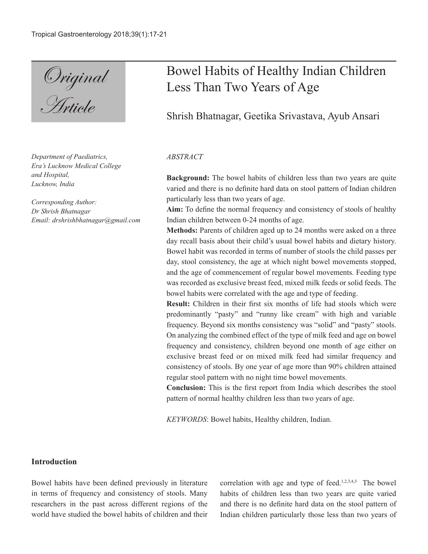Original **Article** 

*Department of Paediatrics, Era's Lucknow Medical College and Hospital, Lucknow, India*

*Corresponding Author: Dr Shrish Bhatnagar Email: drshrishbhatnagar@gmail.com*

# Bowel Habits of Healthy Indian Children Less Than Two Years of Age

Shrish Bhatnagar, Geetika Srivastava, Ayub Ansari

### *ABSTRACT*

**Background:** The bowel habits of children less than two years are quite varied and there is no definite hard data on stool pattern of Indian children particularly less than two years of age.

**Aim:** To define the normal frequency and consistency of stools of healthy Indian children between 0-24 months of age.

**Methods:** Parents of children aged up to 24 months were asked on a three day recall basis about their child's usual bowel habits and dietary history. Bowel habit was recorded in terms of number of stools the child passes per day, stool consistency, the age at which night bowel movements stopped, and the age of commencement of regular bowel movements. Feeding type was recorded as exclusive breast feed, mixed milk feeds or solid feeds. The bowel habits were correlated with the age and type of feeding.

**Result:** Children in their first six months of life had stools which were predominantly "pasty" and "runny like cream" with high and variable frequency. Beyond six months consistency was "solid" and "pasty" stools. On analyzing the combined effect of the type of milk feed and age on bowel frequency and consistency, children beyond one month of age either on exclusive breast feed or on mixed milk feed had similar frequency and consistency of stools. By one year of age more than 90% children attained regular stool pattern with no night time bowel movements.

**Conclusion:** This is the first report from India which describes the stool pattern of normal healthy children less than two years of age.

*KEYWORDS*: Bowel habits, Healthy children, Indian.

# **Introduction**

Bowel habits have been defined previously in literature in terms of frequency and consistency of stools. Many researchers in the past across different regions of the world have studied the bowel habits of children and their correlation with age and type of feed.<sup>1,2,3,4,5</sup> The bowel habits of children less than two years are quite varied and there is no definite hard data on the stool pattern of Indian children particularly those less than two years of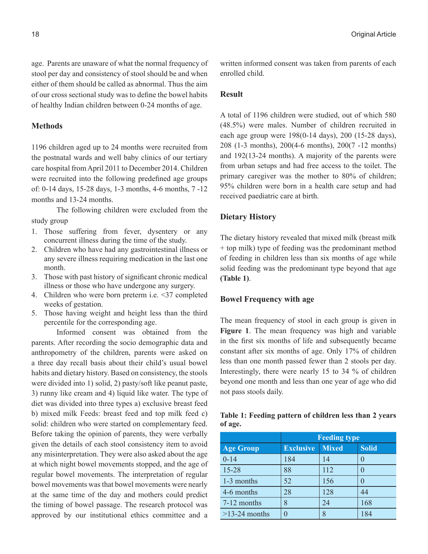age. Parents are unaware of what the normal frequency of stool per day and consistency of stool should be and when either of them should be called as abnormal. Thus the aim of our cross sectional study was to define the bowel habits of healthy Indian children between 0-24 months of age.

#### **Methods**

1196 children aged up to 24 months were recruited from the postnatal wards and well baby clinics of our tertiary care hospital from April 2011 to December 2014. Children were recruited into the following predefined age groups of: 0-14 days, 15-28 days, 1-3 months, 4-6 months, 7 -12 months and 13-24 months.

The following children were excluded from the study group

- 1. Those suffering from fever, dysentery or any concurrent illness during the time of the study.
- 2. Children who have had any gastrointestinal illness or any severe illness requiring medication in the last one month.
- 3. Those with past history of significant chronic medical illness or those who have undergone any surgery.
- 4. Children who were born preterm i.e. <37 completed weeks of gestation.
- 5. Those having weight and height less than the third percentile for the corresponding age.

Informed consent was obtained from the parents. After recording the socio demographic data and anthropometry of the children, parents were asked on a three day recall basis about their child's usual bowel habits and dietary history. Based on consistency, the stools were divided into 1) solid, 2) pasty/soft like peanut paste, 3) runny like cream and 4) liquid like water. The type of diet was divided into three types a) exclusive breast feed b) mixed milk Feeds: breast feed and top milk feed c) solid: children who were started on complementary feed. Before taking the opinion of parents, they were verbally given the details of each stool consistency item to avoid any misinterpretation. They were also asked about the age at which night bowel movements stopped, and the age of regular bowel movements. The interpretation of regular bowel movements was that bowel movements were nearly at the same time of the day and mothers could predict the timing of bowel passage. The research protocol was approved by our institutional ethics committee and a

written informed consent was taken from parents of each enrolled child.

#### **Result**

A total of 1196 children were studied, out of which 580 (48.5%) were males. Number of children recruited in each age group were 198(0-14 days), 200 (15-28 days), 208 (1-3 months), 200(4-6 months), 200(7 -12 months) and 192(13-24 months). A majority of the parents were from urban setups and had free access to the toilet. The primary caregiver was the mother to 80% of children; 95% children were born in a health care setup and had received paediatric care at birth.

## **Dietary History**

The dietary history revealed that mixed milk (breast milk + top milk) type of feeding was the predominant method of feeding in children less than six months of age while solid feeding was the predominant type beyond that age **(Table 1)**.

#### **Bowel Frequency with age**

The mean frequency of stool in each group is given in **Figure 1**. The mean frequency was high and variable in the first six months of life and subsequently became constant after six months of age. Only 17% of children less than one month passed fewer than 2 stools per day. Interestingly, there were nearly 15 to 34 % of children beyond one month and less than one year of age who did not pass stools daily.

|         |  | Table 1: Feeding pattern of children less than 2 years |  |  |
|---------|--|--------------------------------------------------------|--|--|
| of age. |  |                                                        |  |  |

|                  | <b>Feeding type</b> |              |              |  |  |
|------------------|---------------------|--------------|--------------|--|--|
| <b>Age Group</b> | <b>Exclusive</b>    | <b>Mixed</b> | <b>Solid</b> |  |  |
| $0 - 14$         | 184                 | 14           |              |  |  |
| $15 - 28$        | 88                  | 112          |              |  |  |
| 1-3 months       | 52                  | 156          |              |  |  |
| 4-6 months       | 28                  | 128          | 44           |  |  |
| 7-12 months      | 8                   | 24           | 168          |  |  |
| $>13-24$ months  |                     | 8            | 184          |  |  |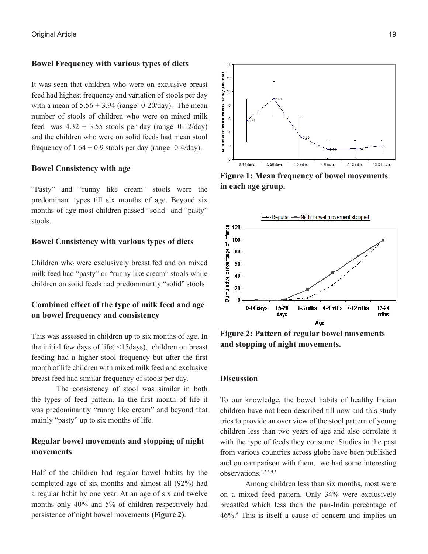#### **Bowel Frequency with various types of diets**

It was seen that children who were on exclusive breast feed had highest frequency and variation of stools per day with a mean of  $5.56 + 3.94$  (range=0-20/day). The mean number of stools of children who were on mixed milk feed was  $4.32 + 3.55$  stools per day (range=0-12/day) and the children who were on solid feeds had mean stool frequency of  $1.64 + 0.9$  stools per day (range=0-4/day).

#### **Bowel Consistency with age**

"Pasty" and "runny like cream" stools were the predominant types till six months of age. Beyond six months of age most children passed "solid" and "pasty" stools.

## **Bowel Consistency with various types of diets**

Children who were exclusively breast fed and on mixed milk feed had "pasty" or "runny like cream" stools while children on solid feeds had predominantly "solid" stools

# **Combined effect of the type of milk feed and age on bowel frequency and consistency**

This was assessed in children up to six months of age. In the initial few days of life( <15days), children on breast feeding had a higher stool frequency but after the first month of life children with mixed milk feed and exclusive breast feed had similar frequency of stools per day.

The consistency of stool was similar in both the types of feed pattern. In the first month of life it was predominantly "runny like cream" and beyond that mainly "pasty" up to six months of life.

# **Regular bowel movements and stopping of night movements**

Half of the children had regular bowel habits by the completed age of six months and almost all (92%) had a regular habit by one year. At an age of six and twelve months only 40% and 5% of children respectively had persistence of night bowel movements **(Figure 2)**.



**Figure 1: Mean frequency of bowel movements in each age group.**



**Figure 2: Pattern of regular bowel movements and stopping of night movements.**

#### **Discussion**

To our knowledge, the bowel habits of healthy Indian children have not been described till now and this study tries to provide an over view of the stool pattern of young children less than two years of age and also correlate it with the type of feeds they consume. Studies in the past from various countries across globe have been published and on comparison with them, we had some interesting observations.1,2,3,4,5

Among children less than six months, most were on a mixed feed pattern. Only 34% were exclusively breastfed which less than the pan-India percentage of 46%.6 This is itself a cause of concern and implies an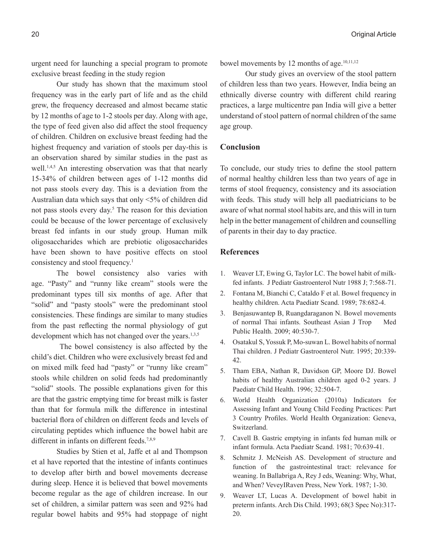urgent need for launching a special program to promote exclusive breast feeding in the study region

Our study has shown that the maximum stool frequency was in the early part of life and as the child grew, the frequency decreased and almost became static by 12 months of age to 1-2 stools per day. Along with age, the type of feed given also did affect the stool frequency of children. Children on exclusive breast feeding had the highest frequency and variation of stools per day-this is an observation shared by similar studies in the past as well.<sup>1,4,5</sup> An interesting observation was that that nearly 15-34% of children between ages of 1-12 months did not pass stools every day. This is a deviation from the Australian data which says that only <5% of children did not pass stools every day.<sup>5</sup> The reason for this deviation could be because of the lower percentage of exclusively breast fed infants in our study group. Human milk oligosaccharides which are prebiotic oligosaccharides have been shown to have positive effects on stool consistency and stool frequency.<sup>1</sup>

The bowel consistency also varies with age. "Pasty" and "runny like cream" stools were the predominant types till six months of age. After that "solid" and "pasty stools" were the predominant stool consistencies. These findings are similar to many studies from the past reflecting the normal physiology of gut development which has not changed over the years.<sup>1,3,5</sup>

 The bowel consistency is also affected by the child's diet. Children who were exclusively breast fed and on mixed milk feed had "pasty" or "runny like cream" stools while children on solid feeds had predominantly "solid" stools. The possible explanations given for this are that the gastric emptying time for breast milk is faster than that for formula milk the difference in intestinal bacterial flora of children on different feeds and levels of circulating peptides which influence the bowel habit are different in infants on different feeds.<sup>7,8,9</sup>

Studies by Stien et al, Jaffe et al and Thompson et al have reported that the intestine of infants continues to develop after birth and bowel movements decrease during sleep. Hence it is believed that bowel movements become regular as the age of children increase. In our set of children, a similar pattern was seen and 92% had regular bowel habits and 95% had stoppage of night

bowel movements by 12 months of age.<sup>10,11,12</sup>

Our study gives an overview of the stool pattern of children less than two years. However, India being an ethnically diverse country with different child rearing practices, a large multicentre pan India will give a better understand of stool pattern of normal children of the same age group.

## **Conclusion**

To conclude, our study tries to define the stool pattern of normal healthy children less than two years of age in terms of stool frequency, consistency and its association with feeds. This study will help all paediatricians to be aware of what normal stool habits are, and this will in turn help in the better management of children and counselling of parents in their day to day practice.

## **References**

- 1. Weaver LT, Ewing G, Taylor LC. The bowel habit of milkfed infants. J Pediatr Gastroenterol Nutr 1988 J; 7:568-71.
- 2. Fontana M, Bianchi C, Cataldo F et al. Bowel frequency in healthy children. Acta Paediatr Scand. 1989; 78:682-4.
- 3. Benjasuwantep B, Ruangdaraganon N. Bowel movements of normal Thai infants. Southeast Asian J Trop Med Public Health. 2009; 40:530-7.
- 4. Osatakul S, Yossuk P, Mo-suwan L. Bowel habits of normal Thai children. J Pediatr Gastroenterol Nutr. 1995; 20:339- 42.
- 5. Tham EBA, Nathan R, Davidson GP, Moore DJ. Bowel habits of healthy Australian children aged 0-2 years. J Paediatr Child Health. 1996; 32:504-7.
- 6. World Health Organization (2010a) Indicators for Assessing Infant and Young Child Feeding Practices: Part 3 Country Profiles. World Health Organization: Geneva, Switzerland.
- 7. Cavell B. Gastric emptying in infants fed human milk or infant formula. Acta Paediatr Scand. 1981; 70:639-41.
- 8. Schmitz J. McNeish AS. Development of structure and function of the gastrointestinal tract: relevance for weaning. In Ballabriga A, Rey J eds, Weaning: Why, What, and When? VeveyIRaven Press, New York. 1987; 1-30.
- 9. Weaver LT, Lucas A. Development of bowel habit in preterm infants. Arch Dis Child. 1993; 68(3 Spec No):317- 20.